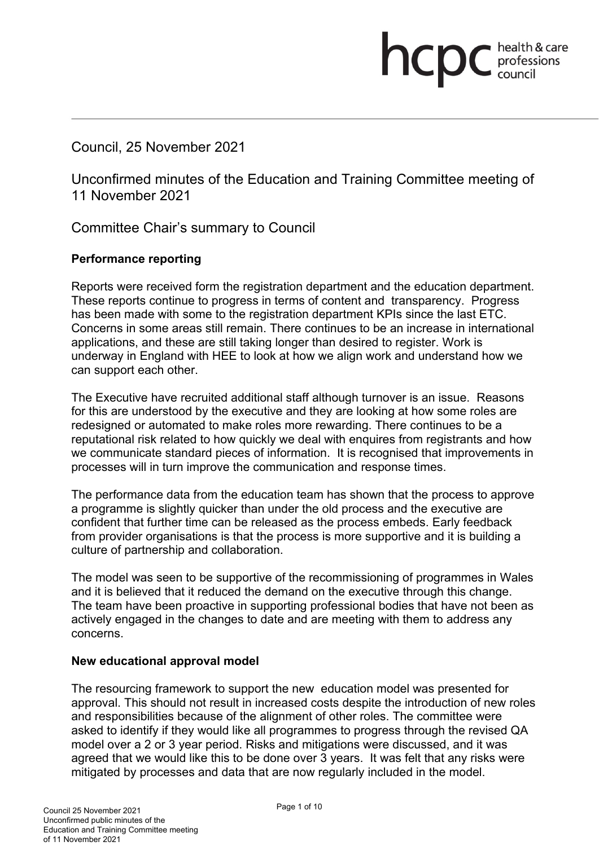# Council, 25 November 2021

Unconfirmed minutes of the Education and Training Committee meeting of 11 November 2021

health & care

**health & card**<br>council

Committee Chair's summary to Council

# **Performance reporting**

Reports were received form the registration department and the education department. These reports continue to progress in terms of content and transparency. Progress has been made with some to the registration department KPIs since the last ETC. Concerns in some areas still remain. There continues to be an increase in international applications, and these are still taking longer than desired to register. Work is underway in England with HEE to look at how we align work and understand how we can support each other.

The Executive have recruited additional staff although turnover is an issue. Reasons for this are understood by the executive and they are looking at how some roles are redesigned or automated to make roles more rewarding. There continues to be a reputational risk related to how quickly we deal with enquires from registrants and how we communicate standard pieces of information. It is recognised that improvements in processes will in turn improve the communication and response times.

The performance data from the education team has shown that the process to approve a programme is slightly quicker than under the old process and the executive are confident that further time can be released as the process embeds. Early feedback from provider organisations is that the process is more supportive and it is building a culture of partnership and collaboration.

The model was seen to be supportive of the recommissioning of programmes in Wales and it is believed that it reduced the demand on the executive through this change. The team have been proactive in supporting professional bodies that have not been as actively engaged in the changes to date and are meeting with them to address any concerns.

### **New educational approval model**

The resourcing framework to support the new education model was presented for approval. This should not result in increased costs despite the introduction of new roles and responsibilities because of the alignment of other roles. The committee were asked to identify if they would like all programmes to progress through the revised QA model over a 2 or 3 year period. Risks and mitigations were discussed, and it was agreed that we would like this to be done over 3 years. It was felt that any risks were mitigated by processes and data that are now regularly included in the model.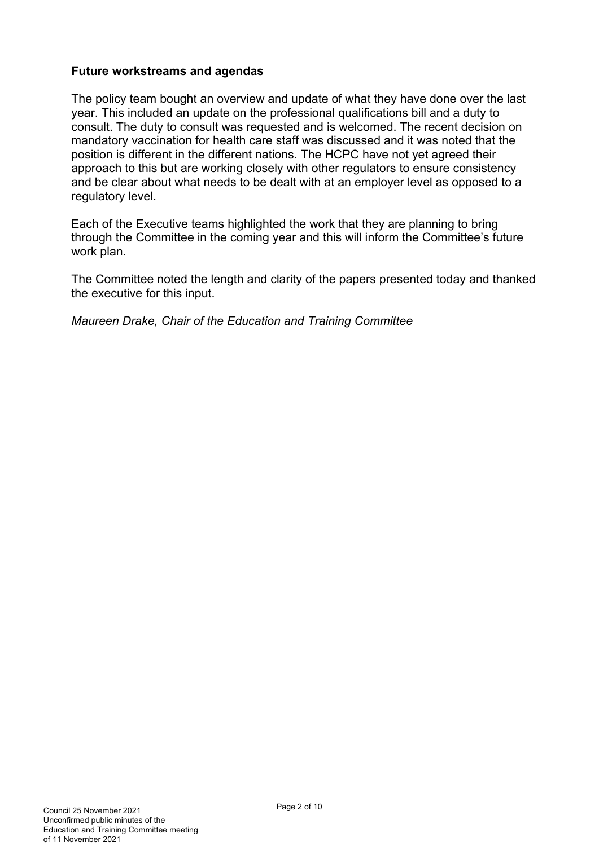### **Future workstreams and agendas**

The policy team bought an overview and update of what they have done over the last year. This included an update on the professional qualifications bill and a duty to consult. The duty to consult was requested and is welcomed. The recent decision on mandatory vaccination for health care staff was discussed and it was noted that the position is different in the different nations. The HCPC have not yet agreed their approach to this but are working closely with other regulators to ensure consistency and be clear about what needs to be dealt with at an employer level as opposed to a regulatory level.

Each of the Executive teams highlighted the work that they are planning to bring through the Committee in the coming year and this will inform the Committee's future work plan.

The Committee noted the length and clarity of the papers presented today and thanked the executive for this input.

*Maureen Drake, Chair of the Education and Training Committee*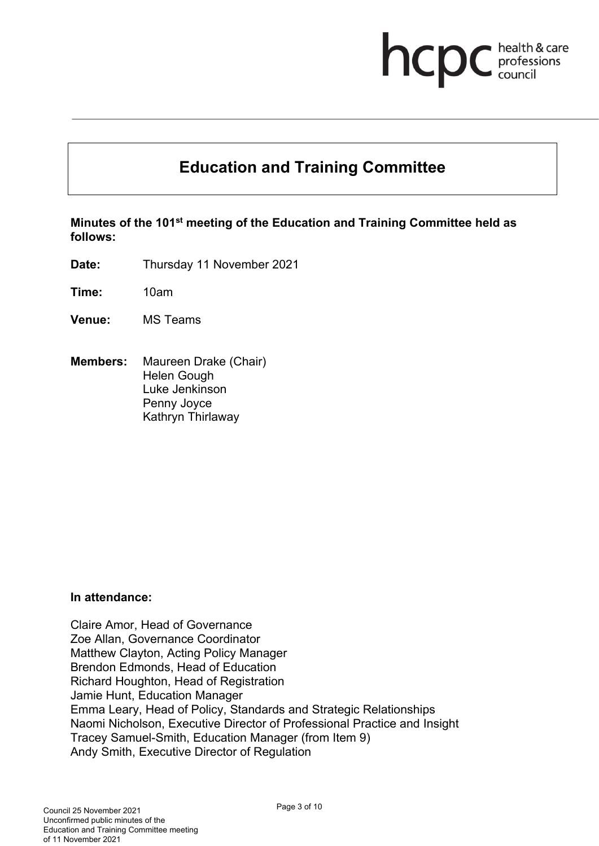# **health & care**

# **Education and Training Committee**

**Minutes of the 101st meeting of the Education and Training Committee held as follows:**

**Date:** Thursday 11 November 2021

**Time:** 10am

- **Venue:** MS Teams
- **Members:** Maureen Drake (Chair) Helen Gough Luke Jenkinson Penny Joyce Kathryn Thirlaway

#### **In attendance:**

Claire Amor, Head of Governance Zoe Allan, Governance Coordinator Matthew Clayton, Acting Policy Manager Brendon Edmonds, Head of Education Richard Houghton, Head of Registration Jamie Hunt, Education Manager Emma Leary, Head of Policy, Standards and Strategic Relationships Naomi Nicholson, Executive Director of Professional Practice and Insight Tracey Samuel-Smith, Education Manager (from Item 9) Andy Smith, Executive Director of Regulation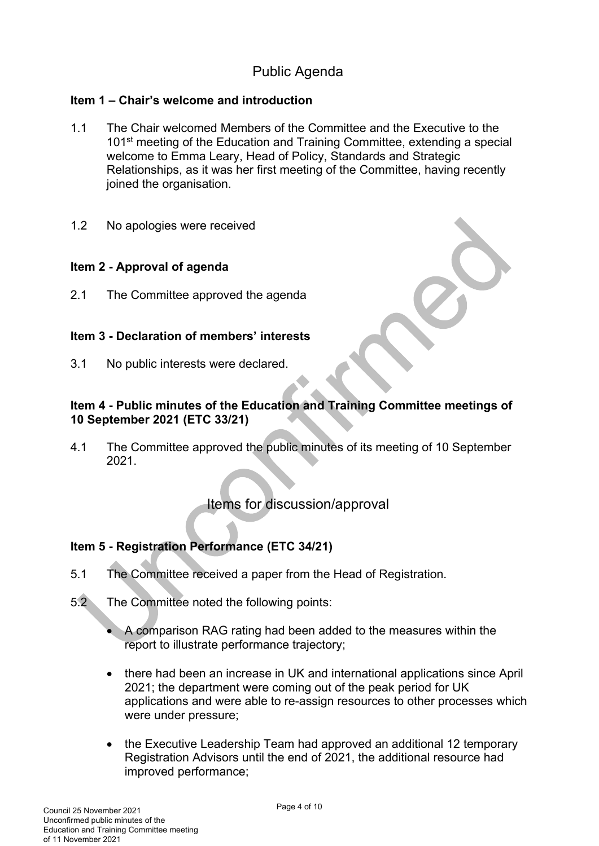# Public Agenda

# **Item 1 – Chair's welcome and introduction**

- 1.1 The Chair welcomed Members of the Committee and the Executive to the 101<sup>st</sup> meeting of the Education and Training Committee, extending a special welcome to Emma Leary, Head of Policy, Standards and Strategic Relationships, as it was her first meeting of the Committee, having recently joined the organisation.
- 1.2 No apologies were received

# **Item 2 - Approval of agenda**

2.1 The Committee approved the agenda

# **Item 3 - Declaration of members' interests**

3.1 No public interests were declared.

# **Item 4 - Public minutes of the Education and Training Committee meetings of 10 September 2021 (ETC 33/21)**

4.1 The Committee approved the public minutes of its meeting of 10 September 2021.

# Items for discussion/approval

# **Item 5 - Registration Performance (ETC 34/21)**

- 5.1 The Committee received a paper from the Head of Registration.
- 5.2 The Committee noted the following points:
	- A comparison RAG rating had been added to the measures within the report to illustrate performance trajectory;
	- there had been an increase in UK and international applications since April 2021; the department were coming out of the peak period for UK applications and were able to re-assign resources to other processes which were under pressure;
	- the Executive Leadership Team had approved an additional 12 temporary Registration Advisors until the end of 2021, the additional resource had improved performance;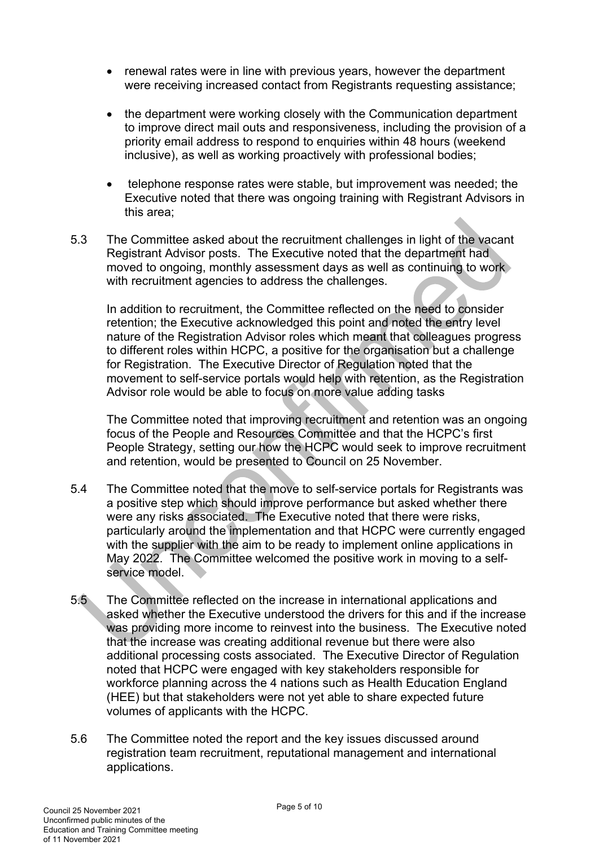- renewal rates were in line with previous years, however the department were receiving increased contact from Registrants requesting assistance:
- the department were working closely with the Communication department to improve direct mail outs and responsiveness, including the provision of a priority email address to respond to enquiries within 48 hours (weekend inclusive), as well as working proactively with professional bodies;
- telephone response rates were stable, but improvement was needed; the Executive noted that there was ongoing training with Registrant Advisors in this area;
- 5.3 The Committee asked about the recruitment challenges in light of the vacant Registrant Advisor posts. The Executive noted that the department had moved to ongoing, monthly assessment days as well as continuing to work with recruitment agencies to address the challenges.

In addition to recruitment, the Committee reflected on the need to consider retention; the Executive acknowledged this point and noted the entry level nature of the Registration Advisor roles which meant that colleagues progress to different roles within HCPC, a positive for the organisation but a challenge for Registration. The Executive Director of Regulation noted that the movement to self-service portals would help with retention, as the Registration Advisor role would be able to focus on more value adding tasks

The Committee noted that improving recruitment and retention was an ongoing focus of the People and Resources Committee and that the HCPC's first People Strategy, setting our how the HCPC would seek to improve recruitment and retention, would be presented to Council on 25 November.

- 5.4 The Committee noted that the move to self-service portals for Registrants was a positive step which should improve performance but asked whether there were any risks associated. The Executive noted that there were risks, particularly around the implementation and that HCPC were currently engaged with the supplier with the aim to be ready to implement online applications in May 2022. The Committee welcomed the positive work in moving to a selfservice model.
- 5.5 The Committee reflected on the increase in international applications and asked whether the Executive understood the drivers for this and if the increase was providing more income to reinvest into the business. The Executive noted that the increase was creating additional revenue but there were also additional processing costs associated. The Executive Director of Regulation noted that HCPC were engaged with key stakeholders responsible for workforce planning across the 4 nations such as Health Education England (HEE) but that stakeholders were not yet able to share expected future volumes of applicants with the HCPC.
- 5.6 The Committee noted the report and the key issues discussed around registration team recruitment, reputational management and international applications.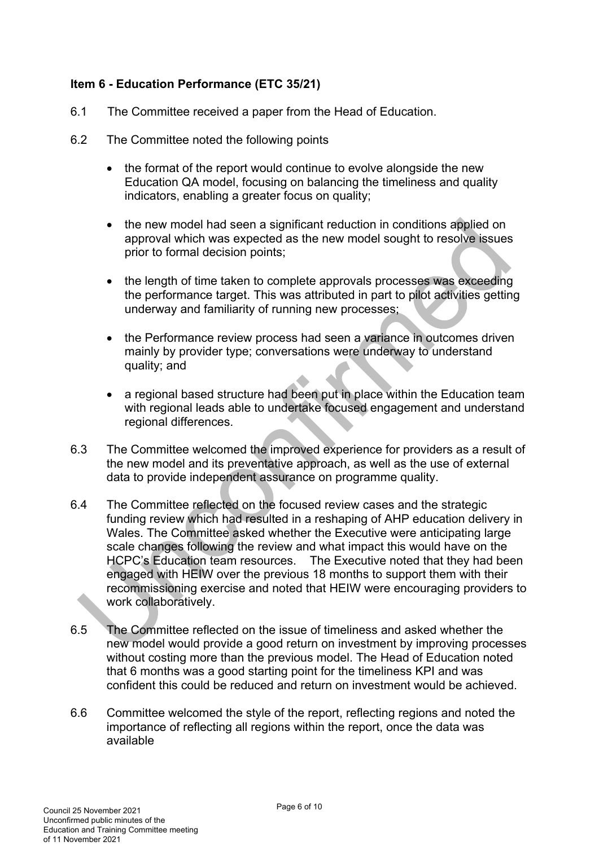# **Item 6 - Education Performance (ETC 35/21)**

- 6.1 The Committee received a paper from the Head of Education.
- 6.2 The Committee noted the following points
	- the format of the report would continue to evolve alongside the new Education QA model, focusing on balancing the timeliness and quality indicators, enabling a greater focus on quality;
	- the new model had seen a significant reduction in conditions applied on approval which was expected as the new model sought to resolve issues prior to formal decision points;
	- the length of time taken to complete approvals processes was exceeding the performance target. This was attributed in part to pilot activities getting underway and familiarity of running new processes;
	- the Performance review process had seen a variance in outcomes driven mainly by provider type; conversations were underway to understand quality; and
	- a regional based structure had been put in place within the Education team with regional leads able to undertake focused engagement and understand regional differences.
- 6.3 The Committee welcomed the improved experience for providers as a result of the new model and its preventative approach, as well as the use of external data to provide independent assurance on programme quality.
- 6.4 The Committee reflected on the focused review cases and the strategic funding review which had resulted in a reshaping of AHP education delivery in Wales. The Committee asked whether the Executive were anticipating large scale changes following the review and what impact this would have on the HCPC's Education team resources. The Executive noted that they had been engaged with HEIW over the previous 18 months to support them with their recommissioning exercise and noted that HEIW were encouraging providers to work collaboratively.
- 6.5 The Committee reflected on the issue of timeliness and asked whether the new model would provide a good return on investment by improving processes without costing more than the previous model. The Head of Education noted that 6 months was a good starting point for the timeliness KPI and was confident this could be reduced and return on investment would be achieved.
- 6.6 Committee welcomed the style of the report, reflecting regions and noted the importance of reflecting all regions within the report, once the data was available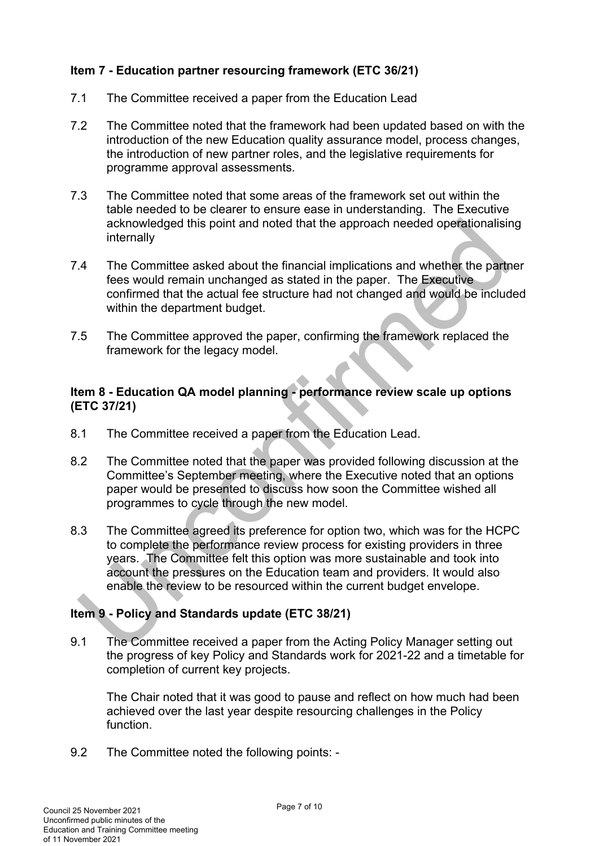# **Item 7 - Education partner resourcing framework (ETC 36/21)**

- 7.1 The Committee received a paper from the Education Lead
- 7.2 The Committee noted that the framework had been updated based on with the introduction of the new Education quality assurance model, process changes, the introduction of new partner roles, and the legislative requirements for programme approval assessments.
- 7.3 The Committee noted that some areas of the framework set out within the table needed to be clearer to ensure ease in understanding. The Executive acknowledged this point and noted that the approach needed operationalising internally
- 7.4 The Committee asked about the financial implications and whether the partner fees would remain unchanged as stated in the paper. The Executive confirmed that the actual fee structure had not changed and would be included within the department budget.
- 7.5 The Committee approved the paper, confirming the framework replaced the framework for the legacy model.

# **Item 8 - Education QA model planning - performance review scale up options (ETC 37/21)**

- 8.1 The Committee received a paper from the Education Lead.
- 8.2 The Committee noted that the paper was provided following discussion at the Committee's September meeting, where the Executive noted that an options paper would be presented to discuss how soon the Committee wished all programmes to cycle through the new model.
- 8.3 The Committee agreed its preference for option two, which was for the HCPC to complete the performance review process for existing providers in three years. The Committee felt this option was more sustainable and took into account the pressures on the Education team and providers. It would also enable the review to be resourced within the current budget envelope.

# **Item 9 - Policy and Standards update (ETC 38/21)**

9.1 The Committee received a paper from the Acting Policy Manager setting out the progress of key Policy and Standards work for 2021-22 and a timetable for completion of current key projects.

The Chair noted that it was good to pause and reflect on how much had been achieved over the last year despite resourcing challenges in the Policy function.

9.2 The Committee noted the following points: -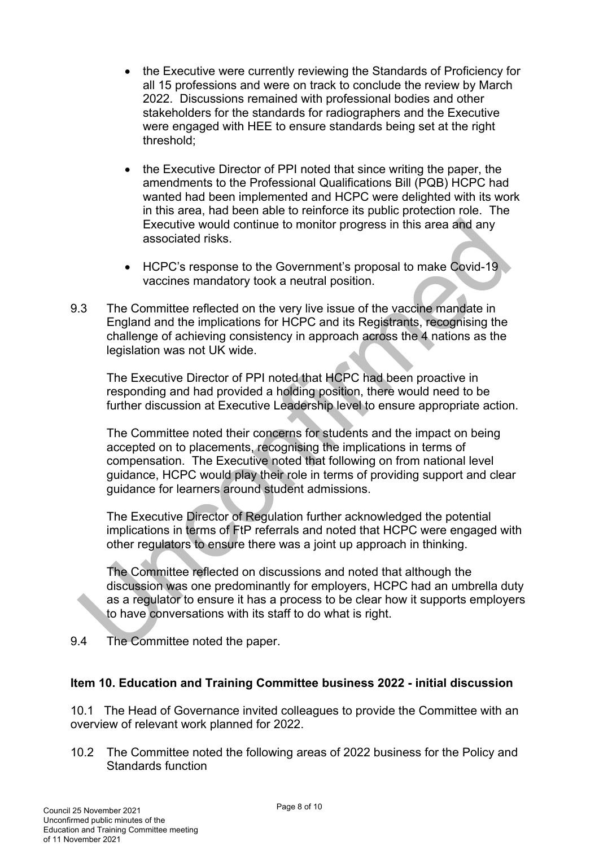- the Executive were currently reviewing the Standards of Proficiency for all 15 professions and were on track to conclude the review by March 2022. Discussions remained with professional bodies and other stakeholders for the standards for radiographers and the Executive were engaged with HEE to ensure standards being set at the right threshold;
- the Executive Director of PPI noted that since writing the paper, the amendments to the Professional Qualifications Bill (PQB) HCPC had wanted had been implemented and HCPC were delighted with its work in this area, had been able to reinforce its public protection role. The Executive would continue to monitor progress in this area and any associated risks.
- HCPC's response to the Government's proposal to make Covid-19 vaccines mandatory took a neutral position.
- 9.3 The Committee reflected on the very live issue of the vaccine mandate in England and the implications for HCPC and its Registrants, recognising the challenge of achieving consistency in approach across the 4 nations as the legislation was not UK wide.

The Executive Director of PPI noted that HCPC had been proactive in responding and had provided a holding position, there would need to be further discussion at Executive Leadership level to ensure appropriate action.

The Committee noted their concerns for students and the impact on being accepted on to placements, recognising the implications in terms of compensation. The Executive noted that following on from national level guidance, HCPC would play their role in terms of providing support and clear guidance for learners around student admissions.

The Executive Director of Regulation further acknowledged the potential implications in terms of FtP referrals and noted that HCPC were engaged with other regulators to ensure there was a joint up approach in thinking.

The Committee reflected on discussions and noted that although the discussion was one predominantly for employers, HCPC had an umbrella duty as a regulator to ensure it has a process to be clear how it supports employers to have conversations with its staff to do what is right.

9.4 The Committee noted the paper.

# **Item 10. Education and Training Committee business 2022 - initial discussion**

10.1 The Head of Governance invited colleagues to provide the Committee with an overview of relevant work planned for 2022.

10.2 The Committee noted the following areas of 2022 business for the Policy and Standards function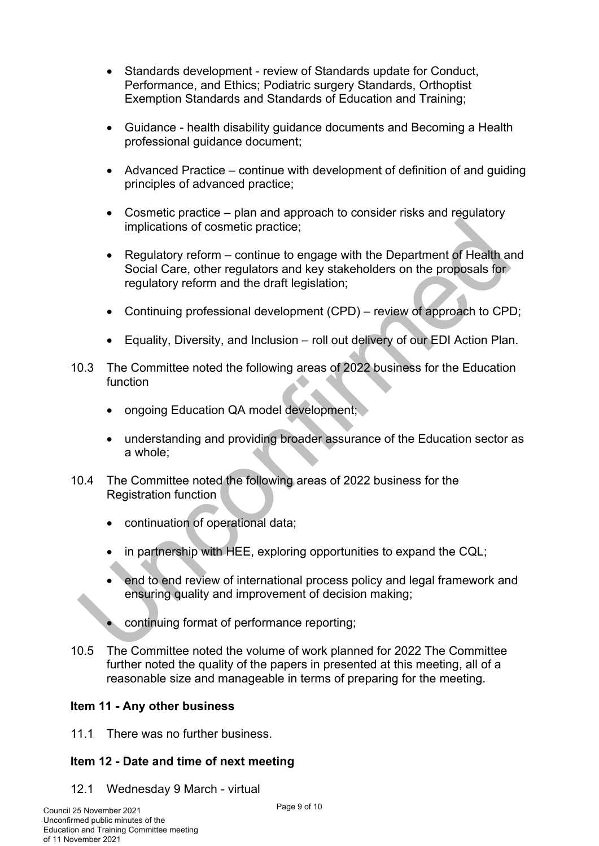- Standards development review of Standards update for Conduct, Performance, and Ethics; Podiatric surgery Standards, Orthoptist Exemption Standards and Standards of Education and Training;
- Guidance health disability guidance documents and Becoming a Health professional guidance document;
- Advanced Practice continue with development of definition of and guiding principles of advanced practice;
- Cosmetic practice plan and approach to consider risks and regulatory implications of cosmetic practice;
- Regulatory reform continue to engage with the Department of Health and Social Care, other regulators and key stakeholders on the proposals for regulatory reform and the draft legislation;
- Continuing professional development (CPD) review of approach to CPD;
- Equality, Diversity, and Inclusion roll out delivery of our EDI Action Plan.
- 10.3 The Committee noted the following areas of 2022 business for the Education function
	- ongoing Education QA model development;
	- understanding and providing broader assurance of the Education sector as a whole;
- 10.4 The Committee noted the following areas of 2022 business for the Registration function
	- continuation of operational data;
	- in partnership with HEE, exploring opportunities to expand the CQL;
	- end to end review of international process policy and legal framework and ensuring quality and improvement of decision making;
	- continuing format of performance reporting;
- 10.5 The Committee noted the volume of work planned for 2022 The Committee further noted the quality of the papers in presented at this meeting, all of a reasonable size and manageable in terms of preparing for the meeting.

# **Item 11 - Any other business**

11.1 There was no further business.

# **Item 12 - Date and time of next meeting**

12.1 Wednesday 9 March - virtual